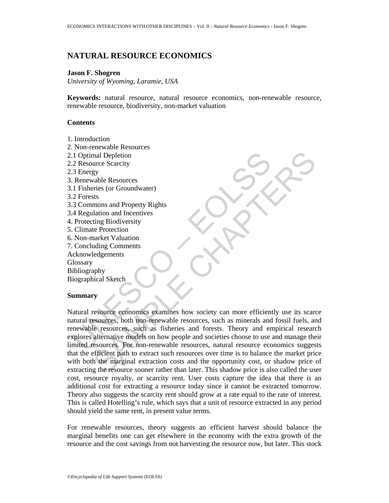## **NATURAL RESOURCE ECONOMICS**

## **Jason F. Shogren**

*University of Wyoming, Laramie, USA* 

**Keywords:** natural resource, natural resource economics, non-renewable resource, renewable resource, biodiversity, non-market valuation

### **Contents**

- 1. Introduction
- 2. Non-renewable Resources
- 2.1 Optimal Depletion
- 2.2 Resource Scarcity
- 2.3 Energy
- 3. Renewable Resources
- 3.1 Fisheries (or Groundwater)
- 3.2 Forests
- 3.3 Commons and Property Rights
- 3.4 Regulation and Incentives
- 4. Protecting Biodiversity
- 5. Climate Protection
- 6. Non-market Valuation
- 7. Concluding Comments
- Acknowledgements
- **Glossary**

Bibliography

Biographical Sketch

#### **Summary**

1 Optimal Depletion<br>
2 Resource Scarcity<br>
2 Resource Scarcity<br>
1 Renewable Resources<br>
1 Fisheries (or Groundwater)<br>
2 Forests<br>
3 Commons and Property Rights<br>
2 Forests<br>
3 Commons and Property Rights<br>
2 Protecting Biodivers mal Depletion<br>gy<br>gy<br>gy<br>dable Resources<br>circles (or Groundwater)<br>mons and Property Rights<br>mons and Property Rights<br>mons and Property Rights<br>halation and Incentives<br>terms and Incentives<br>function analytical Sketch<br>generation Natural resource economics examines how society can more efficiently use its scarce natural resources, both non-renewable resources, such as minerals and fossil fuels, and renewable resources, such as fisheries and forests. Theory and empirical research explores alternative models on how people and societies choose to use and manage their limited resources. For non-renewable resources, natural resource economics suggests that the efficient path to extract such resources over time is to balance the market price with both the marginal extraction costs and the opportunity cost, or shadow price of extracting the resource sooner rather than later. This shadow price is also called the user cost, resource royalty, or scarcity rent. User costs capture the idea that there is an additional cost for extracting a resource today since it cannot be extracted tomorrow. Theory also suggests the scarcity rent should grow at a rate equal to the rate of interest. This is called Hotelling's rule, which says that a unit of resource extracted in any period should yield the same rent, in present value terms.

For renewable resources, theory suggests an efficient harvest should balance the marginal benefits one can get elsewhere in the economy with the extra growth of the resource and the cost savings from not harvesting the resource now, but later. This stock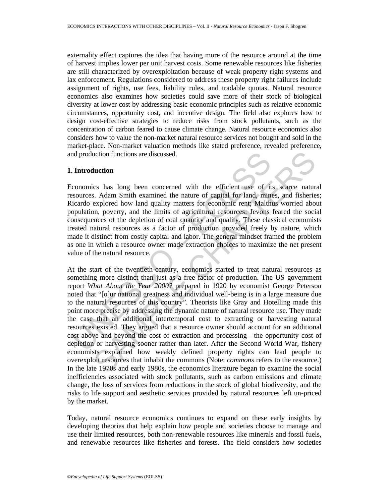externality effect captures the idea that having more of the resource around at the time of harvest implies lower per unit harvest costs. Some renewable resources like fisheries are still characterized by overexploitation because of weak property right systems and lax enforcement. Regulations considered to address these property right failures include assignment of rights, use fees, liability rules, and tradable quotas. Natural resource economics also examines how societies could save more of their stock of biological diversity at lower cost by addressing basic economic principles such as relative economic circumstances, opportunity cost, and incentive design. The field also explores how to design cost-effective strategies to reduce risks from stock pollutants, such as the concentration of carbon feared to cause climate change. Natural resource economics also considers how to value the non-market natural resource services not bought and sold in the market-place. Non-market valuation methods like stated preference, revealed preference, and production functions are discussed.

#### **1. Introduction**

Economics has long been concerned with the efficient use of its scarce natural resources. Adam Smith examined the nature of capital for land, mines, and fisheries; Ricardo explored how land quality matters for economic rent; Malthus worried about population, poverty, and the limits of agricultural resources; Jevons feared the social consequences of the depletion of coal quantity and quality. These classical economists treated natural resources as a factor of production provided freely by nature, which made it distinct from costly capital and labor. The general mindset framed the problem as one in which a resource owner made extraction choices to maximize the net present value of the natural resource.

and production functions are discussed.<br> **Introduction**<br>
conomics has long been concerned with the efficient use of its<br>
sicardo explored how land quality matters for economic rent; Malth ince<br>
icardo explored how land qua uction functions are discussed.<br> **Luction**<br>
cs has long been concerned with the efficient use of its scarce nature.<br>
S. Adam Smith examined the nature of capital for land mines, and fisherie<br>
explored how land quality matt At the start of the twentieth-century, economics started to treat natural resources as something more distinct than just as a free factor of production. The US government report *What About the Year 2000?* prepared in 1920 by economist George Peterson noted that "[o]ur national greatness and individual well-being is in a large measure due to the natural resources of this country". Theorists like Gray and Hotelling made this point more precise by addressing the dynamic nature of natural resource use. They made the case that an additional intertemporal cost to extracting or harvesting natural resources existed. They argued that a resource owner should account for an additional cost above and beyond the cost of extraction and processing—the opportunity cost of depletion or harvesting sooner rather than later. After the Second World War, fishery economists explained how weakly defined property rights can lead people to overexploit resources that inhabit the commons (Note: *commons* refers to the resource.) In the late 1970s and early 1980s, the economics literature began to examine the social inefficiencies associated with stock pollutants, such as carbon emissions and climate change, the loss of services from reductions in the stock of global biodiversity, and the risks to life support and aesthetic services provided by natural resources left un-priced by the market.

Today, natural resource economics continues to expand on these early insights by developing theories that help explain how people and societies choose to manage and use their limited resources, both non-renewable resources like minerals and fossil fuels, and renewable resources like fisheries and forests. The field considers how societies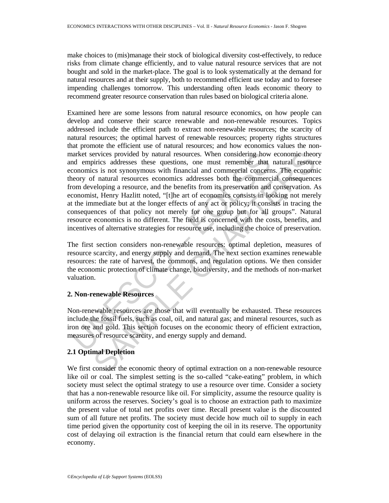make choices to (mis)manage their stock of biological diversity cost-effectively, to reduce risks from climate change efficiently, and to value natural resource services that are not bought and sold in the market-place. The goal is to look systematically at the demand for natural resources and at their supply, both to recommend efficient use today and to foresee impending challenges tomorrow. This understanding often leads economic theory to recommend greater resource conservation than rules based on biological criteria alone.

anxlet services provided by natural resources. When considering how<br>dd empirics addresses these questions, one must remember that<br>conomics is not synonymous with financial and commercial concern<br>encoy of natural resources ervices provided by natural resources. When considering how economic theoriess addresses these questions, one must remember that natural resources in so tynonymous with financial and commercial concerns. The economic finat Examined here are some lessons from natural resource economics, on how people can develop and conserve their scarce renewable and non-renewable resources. Topics addressed include the efficient path to extract non-renewable resources; the scarcity of natural resources; the optimal harvest of renewable resources; property rights structures that promote the efficient use of natural resources; and how economics values the nonmarket services provided by natural resources. When considering how economic theory and empirics addresses these questions, one must remember that natural resource economics is not synonymous with financial and commercial concerns. The economic theory of natural resources economics addresses both the commercial consequences from developing a resource, and the benefits from its preservation and conservation. As economist, Henry Hazlitt noted, "[t]he art of economics consists in looking not merely at the immediate but at the longer effects of any act or policy; it consists in tracing the consequences of that policy not merely for one group but for all groups". Natural resource economics is no different. The field is concerned with the costs, benefits, and incentives of alternative strategies for resource use, including the choice of preservation.

The first section considers non-renewable resources: optimal depletion, measures of resource scarcity, and energy supply and demand. The next section examines renewable resources: the rate of harvest, the commons, and regulation options. We then consider the economic protection of climate change, biodiversity, and the methods of non-market valuation.

## **2. Non-renewable Resources**

Non-renewable resources are those that will eventually be exhausted. These resources include the fossil fuels, such as coal, oil, and natural gas; and mineral resources, such as iron ore and gold. This section focuses on the economic theory of efficient extraction, measures of resource scarcity, and energy supply and demand.

## **2.1 Optimal Depletion**

We first consider the economic theory of optimal extraction on a non-renewable resource like oil or coal. The simplest setting is the so-called "cake-eating" problem, in which society must select the optimal strategy to use a resource over time. Consider a society that has a non-renewable resource like oil. For simplicity, assume the resource quality is uniform across the reserves. Society's goal is to choose an extraction path to maximize the present value of total net profits over time. Recall present value is the discounted sum of all future net profits. The society must decide how much oil to supply in each time period given the opportunity cost of keeping the oil in its reserve. The opportunity cost of delaying oil extraction is the financial return that could earn elsewhere in the economy.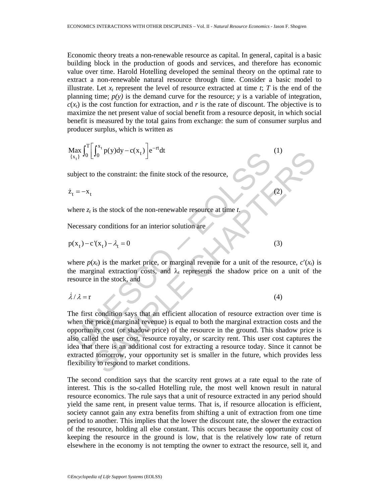Economic theory treats a non-renewable resource as capital. In general, capital is a basic building block in the production of goods and services, and therefore has economic value over time. Harold Hotelling developed the seminal theory on the optimal rate to extract a non-renewable natural resource through time. Consider a basic model to illustrate. Let  $x_t$  represent the level of resource extracted at time  $t$ ;  $T$  is the end of the planning time;  $p(y)$  is the demand curve for the resource; *y* is a variable of integration,  $c(x_t)$  is the cost function for extraction, and *r* is the rate of discount. The objective is to maximize the net present value of social benefit from a resource deposit, in which social benefit is measured by the total gains from exchange: the sum of consumer surplus and producer surplus, which is written as

$$
\max_{\{x_t\}} \int_0^T \left[ \int_0^{x_t} p(y) dy - c(x_t) \right] e^{-rt} dt
$$
 (1)

subject to the constraint: the finite stock of the resource,

 $\dot{z}_t = -x_t$  (2)

where  $z_t$  is the stock of the non-renewable resource at time  $t$ .

Necessary conditions for an interior solution are

$$
p(x_t) - c'(x_t) - \lambda_t = 0 \tag{3}
$$

where  $p(x_t)$  is the market price, or marginal revenue for a unit of the resource,  $c'(x_t)$  is the marginal extraction costs, and  $\lambda_t$  represents the shadow price on a unit of the resource in the stock, and

$$
\lambda/\lambda = r \tag{4}
$$

Alax,  $J_0 \left[ J_0 \right]$   $P(y)dy = c(x_t) \left[ e^{-\alpha t} \right]$ <br>
whisted to the constraint: the finite stock of the resource,<br>  $t = -x_t$ <br>
there  $z_t$  is the stock of the non-renewable resource at time  $t$ ,<br>
lecessary conditions for an interior J<sub>0</sub> P(y)ay – c(x<sub>t</sub>)<sup>1</sup>e at<br>
2) the constraint: the finite stock of the resource,<br>
is the stock of the non-renewable resource at time t.<br>
y conditions for an interior solution are<br>  $f'(x_t) - \lambda_1 = 0$  (3)<br>
(3)<br>
(3)<br>
(3)<br>
(3) The first condition says that an efficient allocation of resource extraction over time is when the price (marginal revenue) is equal to both the marginal extraction costs and the opportunity cost (or shadow price) of the resource in the ground. This shadow price is also called the user cost, resource royalty, or scarcity rent. This user cost captures the idea that there is an additional cost for extracting a resource today. Since it cannot be extracted tomorrow, your opportunity set is smaller in the future, which provides less flexibility to respond to market conditions.

The second condition says that the scarcity rent grows at a rate equal to the rate of interest. This is the so-called Hotelling rule, the most well known result in natural resource economics. The rule says that a unit of resource extracted in any period should yield the same rent, in present value terms. That is, if resource allocation is efficient, society cannot gain any extra benefits from shifting a unit of extraction from one time period to another. This implies that the lower the discount rate, the slower the extraction of the resource, holding all else constant. This occurs because the opportunity cost of keeping the resource in the ground is low, that is the relatively low rate of return elsewhere in the economy is not tempting the owner to extract the resource, sell it, and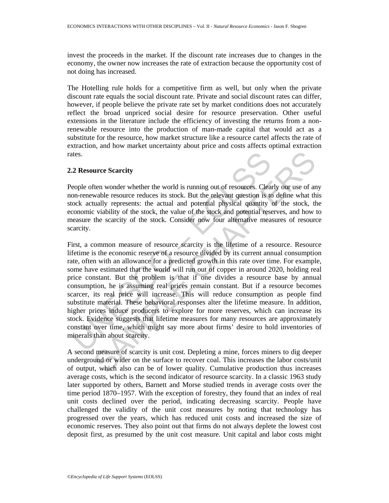invest the proceeds in the market. If the discount rate increases due to changes in the economy, the owner now increases the rate of extraction because the opportunity cost of not doing has increased.

The Hotelling rule holds for a competitive firm as well, but only when the private discount rate equals the social discount rate. Private and social discount rates can differ, however, if people believe the private rate set by market conditions does not accurately reflect the broad unpriced social desire for resource preservation. Other useful extensions in the literature include the efficiency of investing the returns from a nonrenewable resource into the production of man-made capital that would act as a substitute for the resource, how market structure like a resource cartel affects the rate of extraction, and how market uncertainty about price and costs affects optimal extraction rates.

#### **2.2 Resource Scarcity**

People often wonder whether the world is running out of resources. Clearly our use of any non-renewable resource reduces its stock. But the relevant question is to define what this stock actually represents: the actual and potential physical quantity of the stock, the economic viability of the stock, the value of the stock and potential reserves, and how to measure the scarcity of the stock. Consider now four alternative measures of resource scarcity.

2 Resource Scarcity<br>
2 Resource Scarcity<br>
cople often wonder whether the world is running out of resources. Clea<br>
con-renewable resource reduces its stock. But the relevant question is to<br>
con-renewable respects: the actua **EXECUTE:**<br>
Then wonder whether the world is running out of resources. Clearly our use of an<br>
wable resource reduces its stock. But the relevant question is to define what thually represents: the actual and potential physi First, a common measure of resource scarcity is the lifetime of a resource. Resource lifetime is the economic reserve of a resource divided by its current annual consumption rate, often with an allowance for a predicted growth in this rate over time. For example, some have estimated that the world will run out of copper in around 2020, holding real price constant. But the problem is that if one divides a resource base by annual consumption, he is assuming real prices remain constant. But if a resource becomes scarcer, its real price will increase. This will reduce consumption as people find substitute material. These behavioral responses alter the lifetime measure. In addition, higher prices induce producers to explore for more reserves, which can increase its stock. Evidence suggests that lifetime measures for many resources are approximately constant over time, which might say more about firms' desire to hold inventories of minerals than about scarcity.

A second measure of scarcity is unit cost. Depleting a mine, forces miners to dig deeper underground or wider on the surface to recover coal. This increases the labor costs/unit of output, which also can be of lower quality. Cumulative production thus increases average costs, which is the second indicator of resource scarcity. In a classic 1963 study later supported by others, Barnett and Morse studied trends in average costs over the time period 1870–1957. With the exception of forestry, they found that an index of real unit costs declined over the period, indicating decreasing scarcity. People have challenged the validity of the unit cost measures by noting that technology has progressed over the years, which has reduced unit costs and increased the size of economic reserves. They also point out that firms do not always deplete the lowest cost deposit first, as presumed by the unit cost measure. Unit capital and labor costs might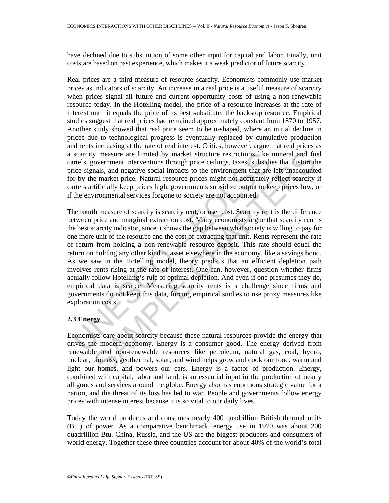have declined due to substitution of some other input for capital and labor. Finally, unit costs are based on past experience, which makes it a weak predictor of future scarcity.

Real prices are a third measure of resource scarcity. Economists commonly use market prices as indicators of scarcity. An increase in a real price is a useful measure of scarcity when prices signal all future and current opportunity costs of using a non-renewable resource today. In the Hotelling model, the price of a resource increases at the rate of interest until it equals the price of its best substitute: the backstop resource. Empirical studies suggest that real prices had remained approximately constant from 1870 to 1957. Another study showed that real price seem to be u-shaped, where an initial decline in prices due to technological progress is eventually replaced by cumulative production and rents increasing at the rate of real interest. Critics, however, argue that real prices as a scarcity measure are limited by market structure restrictions like mineral and fuel cartels, government interventions through price ceilings, taxes, subsidies that distort the price signals, and negative social impacts to the environment that are left unaccounted for by the market price. Natural resource prices might not accurately reflect scarcity if cartels artificially keep prices high, governments subsidize output to keep prices low, or if the environmental services forgone to society are not accounted.

scarcity measure are limited by market structure restrictions like<br>tratels, government interventions through price ceilings, taxes, substidience signals, and negative social impacts to the environment that are<br>or by the ma y measure are limited by market structure restrictions like mineral and fuctocomment interventions through price ceilings, taxes, subsidies that distort the manket price. Natural resource prices might not accurately reflec The fourth measure of scarcity is scarcity rent, or user cost. Scarcity rent is the difference between price and marginal extraction cost. Many economists argue that scarcity rent is the best scarcity indicator, since it shows the gap between what society is willing to pay for one more unit of the resource and the cost of extracting that unit. Rents represent the rate of return from holding a non-renewable resource deposit. This rate should equal the return on holding any other kind of asset elsewhere in the economy, like a savings bond. As we saw in the Hotelling model, theory predicts that an efficient depletion path involves rents rising at the rate of interest. One can, however, question whether firms actually follow Hotelling's rule of optimal depletion. And even if one presumes they do, empirical data is scarce. Measuring scarcity rents is a challenge since firms and governments do not keep this data, forcing empirical studies to use proxy measures like exploration costs.

## **2.3 Energy**

Economists care about scarcity because these natural resources provide the energy that drives the modern economy. Energy is a consumer good. The energy derived from renewable and non-renewable resources like petroleum, natural gas, coal, hydro, nuclear, biomass, geothermal, solar, and wind helps grow and cook our food, warm and light our homes, and powers our cars. Energy is a factor of production. Energy, combined with capital, labor and land, is an essential input in the production of nearly all goods and services around the globe. Energy also has enormous strategic value for a nation, and the threat of its loss has led to war. People and governments follow energy prices with intense interest because it is so vital to our daily lives.

Today the world produces and consumes nearly 400 quadrillion British thermal units (Btu) of power. As a comparative benchmark, energy use in 1970 was about 200 quadrillion Btu. China, Russia, and the US are the biggest producers and consumers of world energy. Together these three countries account for about 40% of the world's total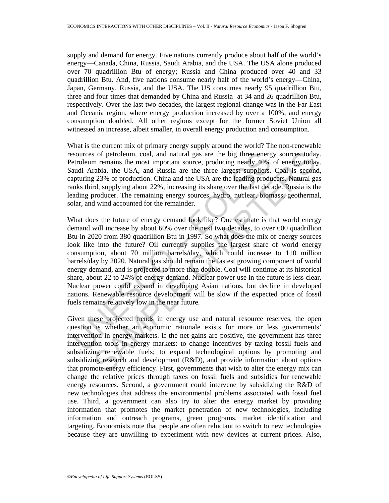supply and demand for energy. Five nations currently produce about half of the world's energy—Canada, China, Russia, Saudi Arabia, and the USA. The USA alone produced over 70 quadrillion Btu of energy; Russia and China produced over 40 and 33 quadrillion Btu. And, five nations consume nearly half of the world's energy—China, Japan, Germany, Russia, and the USA. The US consumes nearly 95 quadrillion Btu, three and four times that demanded by China and Russia at 34 and 26 quadrillion Btu, respectively. Over the last two decades, the largest regional change was in the Far East and Oceania region, where energy production increased by over a 100%, and energy consumption doubled. All other regions except for the former Soviet Union all witnessed an increase, albeit smaller, in overall energy production and consumption.

What is the current mix of primary energy supply around the world? The non-renewable resources of petroleum, coal, and natural gas are the big three energy sources today. Petroleum remains the most important source, producing nearly 40% of energy today. Saudi Arabia, the USA, and Russia are the three largest suppliers. Coal is second, capturing 23% of production. China and the USA are the leading producers. Natural gas ranks third, supplying about 22%, increasing its share over the last decade. Russia is the leading producer. The remaining energy sources, hydro, nuclear, biomass, geothermal, solar, and wind accounted for the remainder.

sources of petroleum, coal, and natural gas are the big three energetroleum remains the most important source, producing nearly 40% and arabia Arabia, the USA, and Russia are the Used are three largest supplicirs, appupuri s of petroleum, coal, and natural gas are the big three energy sources today<br>n remains the most important source, producing nearly 40% of energy today<br>rabia, the USA, and Russia are the three largest suppliers. Coal is sec What does the future of energy demand look like? One estimate is that world energy demand will increase by about 60% over the next two decades, to over 600 quadrillion Btu in 2020 from 380 quadrillion Btu in 1997. So what does the mix of energy sources look like into the future? Oil currently supplies the largest share of world energy consumption, about 70 million barrels/day, which could increase to 110 million barrels/day by 2020. Natural gas should remain the fastest growing component of world energy demand, and is projected to more than double. Coal will continue at its historical share, about 22 to 24% of energy demand. Nuclear power use in the future is less clear. Nuclear power could expand in developing Asian nations, but decline in developed nations. Renewable resource development will be slow if the expected price of fossil fuels remains relatively low in the near future.

Given these projected trends in energy use and natural resource reserves, the open question is whether an economic rationale exists for more or less governments' intervention in energy markets. If the net gains are positive, the government has three intervention tools in energy markets: to change incentives by taxing fossil fuels and subsidizing renewable fuels; to expand technological options by promoting and subsidizing research and development (R&D), and provide information about options that promote energy efficiency. First, governments that wish to alter the energy mix can change the relative prices through taxes on fossil fuels and subsidies for renewable energy resources. Second, a government could intervene by subsidizing the R&D of new technologies that address the environmental problems associated with fossil fuel use. Third, a government can also try to alter the energy market by providing information that promotes the market penetration of new technologies, including information and outreach programs, green programs, market identification and targeting. Economists note that people are often reluctant to switch to new technologies because they are unwilling to experiment with new devices at current prices. Also,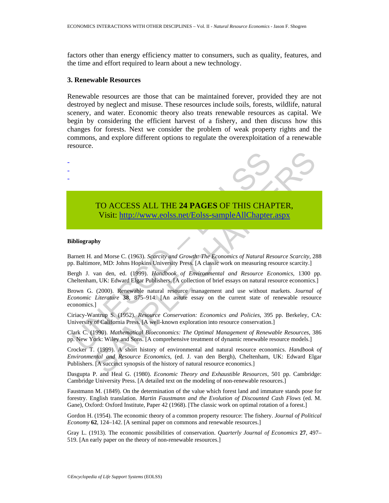factors other than energy efficiency matter to consumers, such as quality, features, and the time and effort required to learn about a new technology.

#### **3. Renewable Resources**

Renewable resources are those that can be maintained forever, provided they are not destroyed by neglect and misuse. These resources include soils, forests, wildlife, natural scenery, and water. Economic theory also treats renewable resources as capital. We begin by considering the efficient harvest of a fishery, and then discuss how this changes for forests. Next we consider the problem of weak property rights and the commons, and explore different options to regulate the overexploitation of a renewable resource.



# TO ACCESS ALL THE **24 PAGES** OF THIS CHAPTER, Visit: http://www.eolss.net/Eolss-sampleAllChapter.aspx

#### **Bibliography**

Barnett H. and Morse C. (1963). *Scarcity and Growth: The Economics of Natural Resource Scarcity*, 288 pp. Baltimore, MD: Johns Hopkins University Press. [A classic work on measuring resource scarcity.]

Bergh J. van den, ed. (1999). *Handbook of Environmental and Resource Economics*, 1300 pp. Cheltenham, UK: Edward Elgar Publishers. [A collection of brief essays on natural resource economics.]

Brown G. (2000). Renewable natural resource management and use without markets. *Journal of Economic Literature* **38**, 875–914. [An astute essay on the current state of renewable resource economics.]

Ciriacy-Wantrup S. (1952). *Resource Conservation: Economics and Policies*, 395 pp. Berkeley, CA: University of California Press. [A well-known exploration into resource conservation.]

Clark C. (1990). *Mathematical Bioeconomics: The Optimal Management of Renewable Resources*, 386 pp. New York: Wiley and Sons. [A comprehensive treatment of dynamic renewable resource models.]

Crocker T. (1999). A short history of environmental and natural resource economics. *Handbook of Environmental and Resource Economics*, (ed. J. van den Bergh), Cheltenham, UK: Edward Elgar Publishers. [A succinct synopsis of the history of natural resource economics.]

Dasgupta P. and Heal G. (1980). *Economic Theory and Exhaustible Resources*, 501 pp. Cambridge: Cambridge University Press. [A detailed text on the modeling of non-renewable resources.]

Faustmann M. (1849). On the determination of the value which forest land and immature stands pose for forestry. English translation. *Martin Faustmann and the Evolution of Discounted Cash Flows* (ed. M. Gane), Oxford: Oxford Institute, Paper 42 (1968). [The classic work on optimal rotation of a forest.]

Gordon H. (1954). The economic theory of a common property resource: The fishery. *Journal of Political Economy* **62**, 124–142. [A seminal paper on commons and renewable resources.]

Gray L. (1913). The economic possibilities of conservation. *Quarterly Journal of Economics* **27**, 497– 519. [An early paper on the theory of non-renewable resources.]